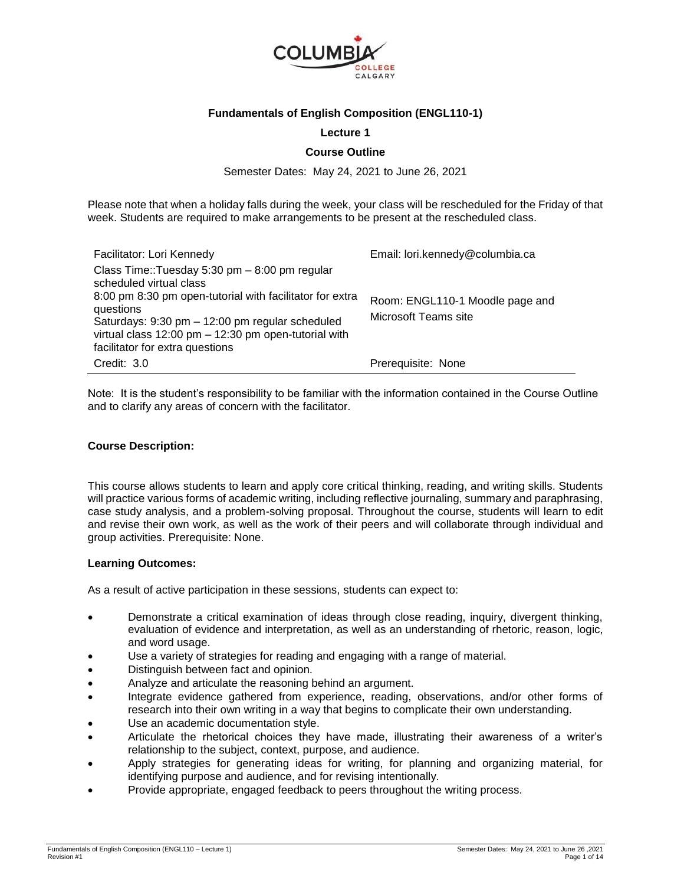

## **Fundamentals of English Composition (ENGL110-1)**

### **Lecture 1**

### **Course Outline**

Semester Dates: May 24, 2021 to June 26, 2021

Please note that when a holiday falls during the week, your class will be rescheduled for the Friday of that week. Students are required to make arrangements to be present at the rescheduled class.

| Facilitator: Lori Kennedy<br>Class Time::Tuesday 5:30 pm - 8:00 pm regular                                                                 | Email: lori.kennedy@columbia.ca |
|--------------------------------------------------------------------------------------------------------------------------------------------|---------------------------------|
| scheduled virtual class<br>8:00 pm 8:30 pm open-tutorial with facilitator for extra                                                        |                                 |
| questions                                                                                                                                  | Room: ENGL110-1 Moodle page and |
| Saturdays: 9:30 pm - 12:00 pm regular scheduled<br>virtual class 12:00 pm - 12:30 pm open-tutorial with<br>facilitator for extra questions | Microsoft Teams site            |
| Credit: 3.0                                                                                                                                | Prerequisite: None              |

Note: It is the student's responsibility to be familiar with the information contained in the Course Outline and to clarify any areas of concern with the facilitator.

### **Course Description:**

This course allows students to learn and apply core critical thinking, reading, and writing skills. Students will practice various forms of academic writing, including reflective journaling, summary and paraphrasing, case study analysis, and a problem-solving proposal. Throughout the course, students will learn to edit and revise their own work, as well as the work of their peers and will collaborate through individual and group activities. Prerequisite: None.

### **Learning Outcomes:**

As a result of active participation in these sessions, students can expect to:

- Demonstrate a critical examination of ideas through close reading, inquiry, divergent thinking, evaluation of evidence and interpretation, as well as an understanding of rhetoric, reason, logic, and word usage.
- Use a variety of strategies for reading and engaging with a range of material.
- Distinguish between fact and opinion.
- Analyze and articulate the reasoning behind an argument.
- Integrate evidence gathered from experience, reading, observations, and/or other forms of research into their own writing in a way that begins to complicate their own understanding.
- Use an academic documentation style.
- Articulate the rhetorical choices they have made, illustrating their awareness of a writer's relationship to the subject, context, purpose, and audience.
- Apply strategies for generating ideas for writing, for planning and organizing material, for identifying purpose and audience, and for revising intentionally.
- Provide appropriate, engaged feedback to peers throughout the writing process.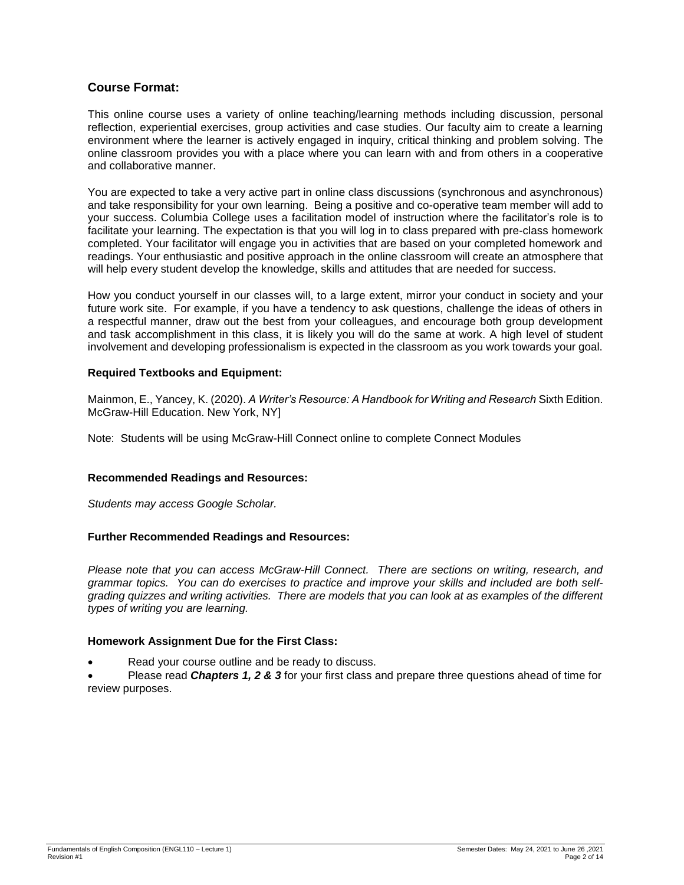# **Course Format:**

This online course uses a variety of online teaching/learning methods including discussion, personal reflection, experiential exercises, group activities and case studies. Our faculty aim to create a learning environment where the learner is actively engaged in inquiry, critical thinking and problem solving. The online classroom provides you with a place where you can learn with and from others in a cooperative and collaborative manner.

You are expected to take a very active part in online class discussions (synchronous and asynchronous) and take responsibility for your own learning. Being a positive and co-operative team member will add to your success. Columbia College uses a facilitation model of instruction where the facilitator's role is to facilitate your learning. The expectation is that you will log in to class prepared with pre-class homework completed. Your facilitator will engage you in activities that are based on your completed homework and readings. Your enthusiastic and positive approach in the online classroom will create an atmosphere that will help every student develop the knowledge, skills and attitudes that are needed for success.

How you conduct yourself in our classes will, to a large extent, mirror your conduct in society and your future work site. For example, if you have a tendency to ask questions, challenge the ideas of others in a respectful manner, draw out the best from your colleagues, and encourage both group development and task accomplishment in this class, it is likely you will do the same at work. A high level of student involvement and developing professionalism is expected in the classroom as you work towards your goal.

## **Required Textbooks and Equipment:**

Mainmon, E., Yancey, K. (2020). *A Writer's Resource: A Handbook for Writing and Research* Sixth Edition. McGraw-Hill Education. New York, NY]

Note: Students will be using McGraw-Hill Connect online to complete Connect Modules

### **Recommended Readings and Resources:**

*Students may access Google Scholar.*

# **Further Recommended Readings and Resources:**

*Please note that you can access McGraw-Hill Connect. There are sections on writing, research, and grammar topics. You can do exercises to practice and improve your skills and included are both selfgrading quizzes and writing activities. There are models that you can look at as examples of the different types of writing you are learning.*

### **Homework Assignment Due for the First Class:**

Read your course outline and be ready to discuss.

 Please read *Chapters 1, 2 & 3* for your first class and prepare three questions ahead of time for review purposes.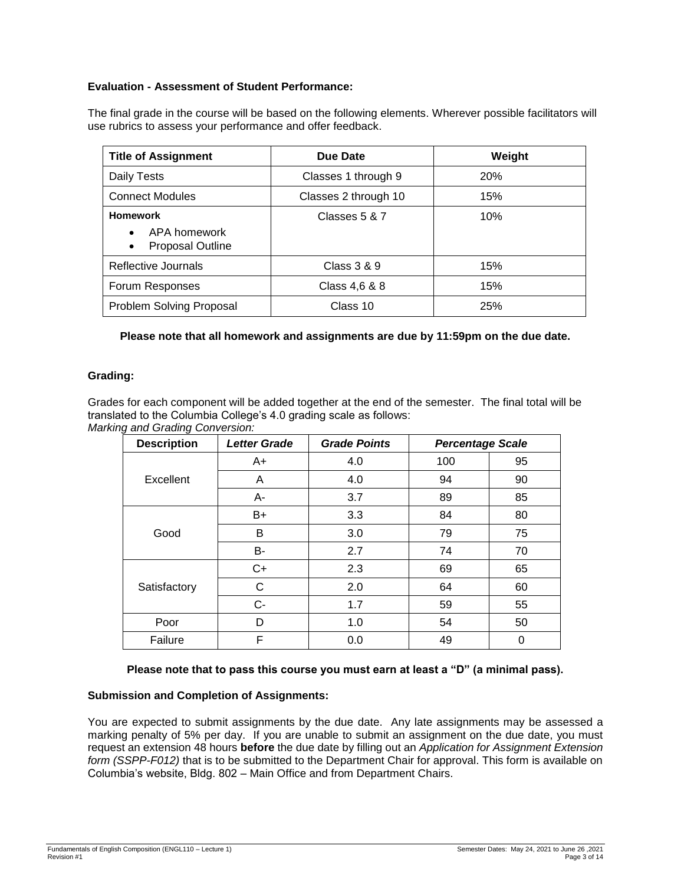# **Evaluation - Assessment of Student Performance:**

The final grade in the course will be based on the following elements. Wherever possible facilitators will use rubrics to assess your performance and offer feedback.

| <b>Title of Assignment</b>                                              | Due Date             | Weight     |
|-------------------------------------------------------------------------|----------------------|------------|
| Daily Tests                                                             | Classes 1 through 9  | <b>20%</b> |
| <b>Connect Modules</b>                                                  | Classes 2 through 10 | 15%        |
| <b>Homework</b><br>APA homework<br><b>Proposal Outline</b><br>$\bullet$ | Classes 5 & 7        | 10%        |
| Reflective Journals                                                     | Class 3 & 9          | 15%        |
| Forum Responses                                                         | Class 4,6 & 8        | 15%        |
| Problem Solving Proposal                                                | Class 10             | 25%        |

**Please note that all homework and assignments are due by 11:59pm on the due date.**

# **Grading:**

Grades for each component will be added together at the end of the semester. The final total will be translated to the Columbia College's 4.0 grading scale as follows: *Marking and Grading Conversion:*

| <b>Description</b> | <b>Letter Grade</b> | <b>Grade Points</b> | <b>Percentage Scale</b> |    |
|--------------------|---------------------|---------------------|-------------------------|----|
|                    | $A+$                | 4.0                 | 100                     | 95 |
| Excellent          | A                   | 4.0                 | 94                      | 90 |
|                    | A-                  | 3.7                 | 89                      | 85 |
|                    | B+                  | 3.3                 | 84                      | 80 |
| Good               | В                   | 3.0                 | 79                      | 75 |
|                    | B-                  | 2.7                 | 74                      | 70 |
|                    | $C+$                | 2.3                 | 69                      | 65 |
| Satisfactory       | C                   | 2.0                 | 64                      | 60 |
|                    | $C-$                | 1.7                 | 59                      | 55 |
| Poor               | D                   | 1.0                 | 54                      | 50 |
| Failure            | F                   | 0.0                 | 49                      | 0  |

### **Please note that to pass this course you must earn at least a "D" (a minimal pass).**

# **Submission and Completion of Assignments:**

You are expected to submit assignments by the due date. Any late assignments may be assessed a marking penalty of 5% per day. If you are unable to submit an assignment on the due date, you must request an extension 48 hours **before** the due date by filling out an *Application for Assignment Extension form (SSPP-F012)* that is to be submitted to the Department Chair for approval. This form is available on Columbia's website, Bldg. 802 – Main Office and from Department Chairs.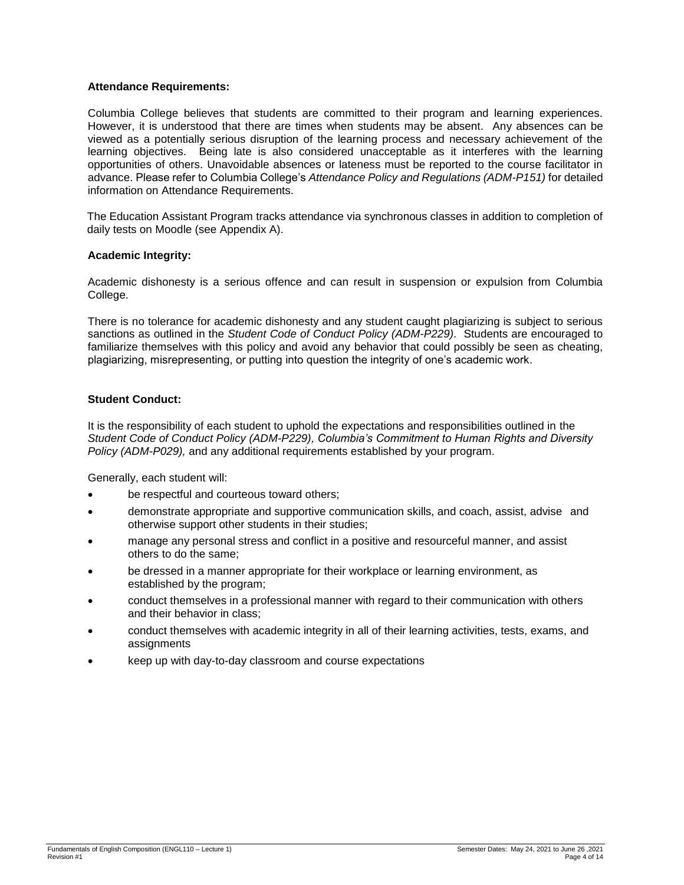## **Attendance Requirements:**

Columbia College believes that students are committed to their program and learning experiences. However, it is understood that there are times when students may be absent. Any absences can be viewed as a potentially serious disruption of the learning process and necessary achievement of the learning objectives. Being late is also considered unacceptable as it interferes with the learning opportunities of others. Unavoidable absences or lateness must be reported to the course facilitator in advance. Please refer to Columbia College's *Attendance Policy and Regulations (ADM-P151)* for detailed information on Attendance Requirements.

The Education Assistant Program tracks attendance via synchronous classes in addition to completion of daily tests on Moodle (see Appendix A).

## **Academic Integrity:**

Academic dishonesty is a serious offence and can result in suspension or expulsion from Columbia College.

There is no tolerance for academic dishonesty and any student caught plagiarizing is subject to serious sanctions as outlined in the *Student Code of Conduct Policy (ADM-P229)*. Students are encouraged to familiarize themselves with this policy and avoid any behavior that could possibly be seen as cheating, plagiarizing, misrepresenting, or putting into question the integrity of one's academic work.

## **Student Conduct:**

It is the responsibility of each student to uphold the expectations and responsibilities outlined in the *Student Code of Conduct Policy (ADM-P229), Columbia's Commitment to Human Rights and Diversity Policy (ADM-P029),* and any additional requirements established by your program.

Generally, each student will:

- be respectful and courteous toward others;
- demonstrate appropriate and supportive communication skills, and coach, assist, advise and otherwise support other students in their studies;
- manage any personal stress and conflict in a positive and resourceful manner, and assist others to do the same;
- be dressed in a manner appropriate for their workplace or learning environment, as established by the program;
- conduct themselves in a professional manner with regard to their communication with others and their behavior in class;
- conduct themselves with academic integrity in all of their learning activities, tests, exams, and assignments
- keep up with day-to-day classroom and course expectations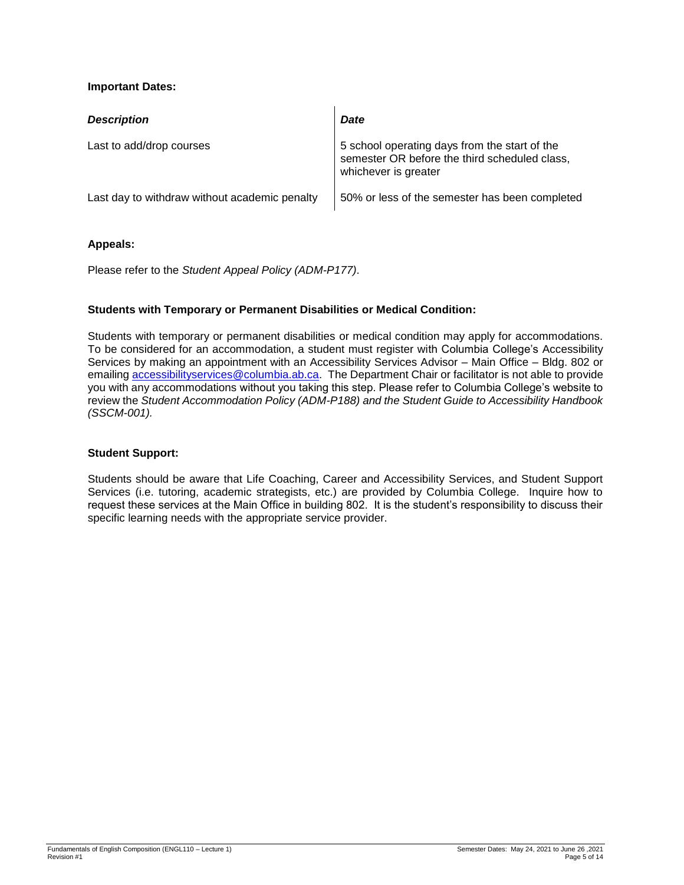# **Important Dates:**

| <b>Description</b>                            | Date                                                                                                                   |
|-----------------------------------------------|------------------------------------------------------------------------------------------------------------------------|
| Last to add/drop courses                      | 5 school operating days from the start of the<br>semester OR before the third scheduled class,<br>whichever is greater |
| Last day to withdraw without academic penalty | 50% or less of the semester has been completed                                                                         |

# **Appeals:**

Please refer to the *Student Appeal Policy (ADM-P177)*.

# **Students with Temporary or Permanent Disabilities or Medical Condition:**

Students with temporary or permanent disabilities or medical condition may apply for accommodations. To be considered for an accommodation, a student must register with Columbia College's Accessibility Services by making an appointment with an Accessibility Services Advisor – Main Office – Bldg. 802 or emailing [accessibilityservices@columbia.ab.ca.](mailto:accessibilityservices@columbia.ab.ca) The Department Chair or facilitator is not able to provide you with any accommodations without you taking this step. Please refer to Columbia College's website to review the *Student Accommodation Policy (ADM-P188) and the Student Guide to Accessibility Handbook (SSCM-001).*

# **Student Support:**

Students should be aware that Life Coaching, Career and Accessibility Services, and Student Support Services (i.e. tutoring, academic strategists, etc.) are provided by Columbia College. Inquire how to request these services at the Main Office in building 802. It is the student's responsibility to discuss their specific learning needs with the appropriate service provider.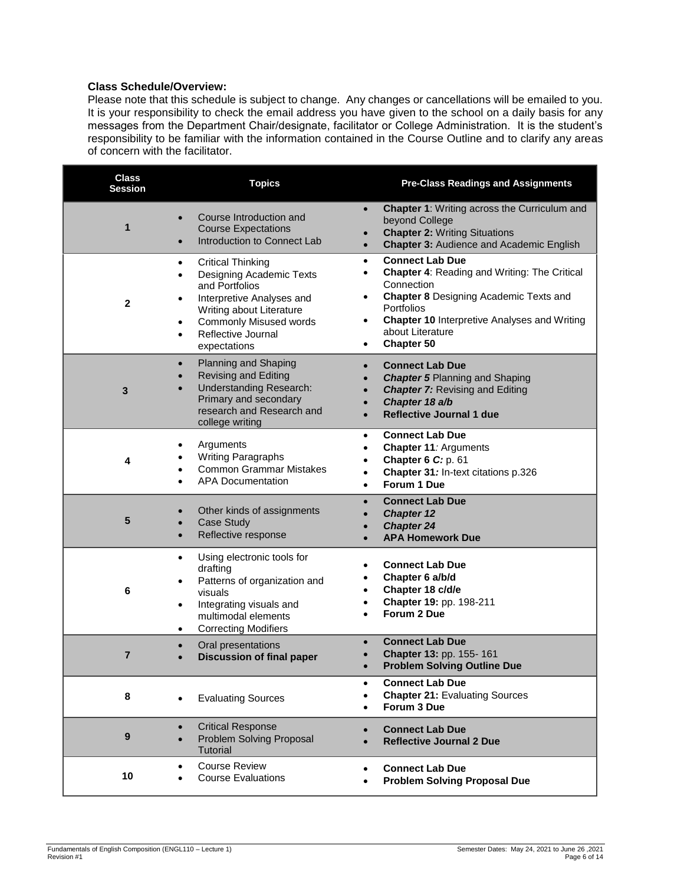# **Class Schedule/Overview:**

Please note that this schedule is subject to change. Any changes or cancellations will be emailed to you. It is your responsibility to check the email address you have given to the school on a daily basis for any messages from the Department Chair/designate, facilitator or College Administration. It is the student's responsibility to be familiar with the information contained in the Course Outline and to clarify any areas of concern with the facilitator.

| <b>Class</b><br><b>Session</b> | <b>Topics</b>                                                                                                                                                                                                                                                           | <b>Pre-Class Readings and Assignments</b>                                                                                                                                                                                                                                                                            |
|--------------------------------|-------------------------------------------------------------------------------------------------------------------------------------------------------------------------------------------------------------------------------------------------------------------------|----------------------------------------------------------------------------------------------------------------------------------------------------------------------------------------------------------------------------------------------------------------------------------------------------------------------|
| 1                              | Course Introduction and<br>$\bullet$<br><b>Course Expectations</b><br>Introduction to Connect Lab<br>$\bullet$                                                                                                                                                          | <b>Chapter 1: Writing across the Curriculum and</b><br>$\bullet$<br>beyond College<br><b>Chapter 2: Writing Situations</b><br><b>Chapter 3: Audience and Academic English</b><br>$\bullet$                                                                                                                           |
| $\mathbf{2}$                   | <b>Critical Thinking</b><br>$\bullet$<br>Designing Academic Texts<br>$\bullet$<br>and Portfolios<br>Interpretive Analyses and<br>$\bullet$<br>Writing about Literature<br><b>Commonly Misused words</b><br>$\bullet$<br>Reflective Journal<br>$\bullet$<br>expectations | <b>Connect Lab Due</b><br>$\bullet$<br><b>Chapter 4: Reading and Writing: The Critical</b><br>$\bullet$<br>Connection<br><b>Chapter 8 Designing Academic Texts and</b><br>$\bullet$<br>Portfolios<br><b>Chapter 10 Interpretive Analyses and Writing</b><br>$\bullet$<br>about Literature<br>Chapter 50<br>$\bullet$ |
| 3                              | Planning and Shaping<br>$\bullet$<br><b>Revising and Editing</b><br><b>Understanding Research:</b><br>Primary and secondary<br>research and Research and<br>college writing                                                                                             | <b>Connect Lab Due</b><br>$\bullet$<br><b>Chapter 5 Planning and Shaping</b><br><b>Chapter 7: Revising and Editing</b><br>Chapter 18 a/b<br><b>Reflective Journal 1 due</b><br>$\bullet$                                                                                                                             |
| 4                              | Arguments<br>$\bullet$<br>Writing Paragraphs<br><b>Common Grammar Mistakes</b><br><b>APA Documentation</b>                                                                                                                                                              | <b>Connect Lab Due</b><br>$\bullet$<br>Chapter 11: Arguments<br>$\bullet$<br>Chapter 6 C: p. 61<br>$\bullet$<br>Chapter 31: In-text citations p.326<br>$\bullet$<br>Forum 1 Due<br>$\bullet$                                                                                                                         |
| 5                              | Other kinds of assignments<br>Case Study<br>Reflective response<br>$\bullet$                                                                                                                                                                                            | <b>Connect Lab Due</b><br>$\bullet$<br><b>Chapter 12</b><br><b>Chapter 24</b><br><b>APA Homework Due</b>                                                                                                                                                                                                             |
| 6                              | Using electronic tools for<br>$\bullet$<br>drafting<br>Patterns of organization and<br>٠<br>visuals<br>Integrating visuals and<br>$\bullet$<br>multimodal elements<br><b>Correcting Modifiers</b><br>$\bullet$                                                          | <b>Connect Lab Due</b><br>Chapter 6 a/b/d<br>Chapter 18 c/d/e<br>Chapter 19: pp. 198-211<br>Forum 2 Due                                                                                                                                                                                                              |
| $\overline{7}$                 | Oral presentations<br>$\bullet$<br><b>Discussion of final paper</b>                                                                                                                                                                                                     | <b>Connect Lab Due</b><br>Chapter 13: pp. 155-161<br><b>Problem Solving Outline Due</b>                                                                                                                                                                                                                              |
| 8                              | <b>Evaluating Sources</b><br>$\bullet$                                                                                                                                                                                                                                  | <b>Connect Lab Due</b><br>$\bullet$<br><b>Chapter 21: Evaluating Sources</b><br>Forum 3 Due<br>$\bullet$                                                                                                                                                                                                             |
| $\boldsymbol{9}$               | <b>Critical Response</b><br>$\bullet$<br>Problem Solving Proposal<br>$\bullet$<br>Tutorial                                                                                                                                                                              | <b>Connect Lab Due</b><br>$\bullet$<br><b>Reflective Journal 2 Due</b>                                                                                                                                                                                                                                               |
| 10                             | <b>Course Review</b><br>$\bullet$<br><b>Course Evaluations</b><br>$\bullet$                                                                                                                                                                                             | <b>Connect Lab Due</b><br>$\bullet$<br><b>Problem Solving Proposal Due</b><br>$\bullet$                                                                                                                                                                                                                              |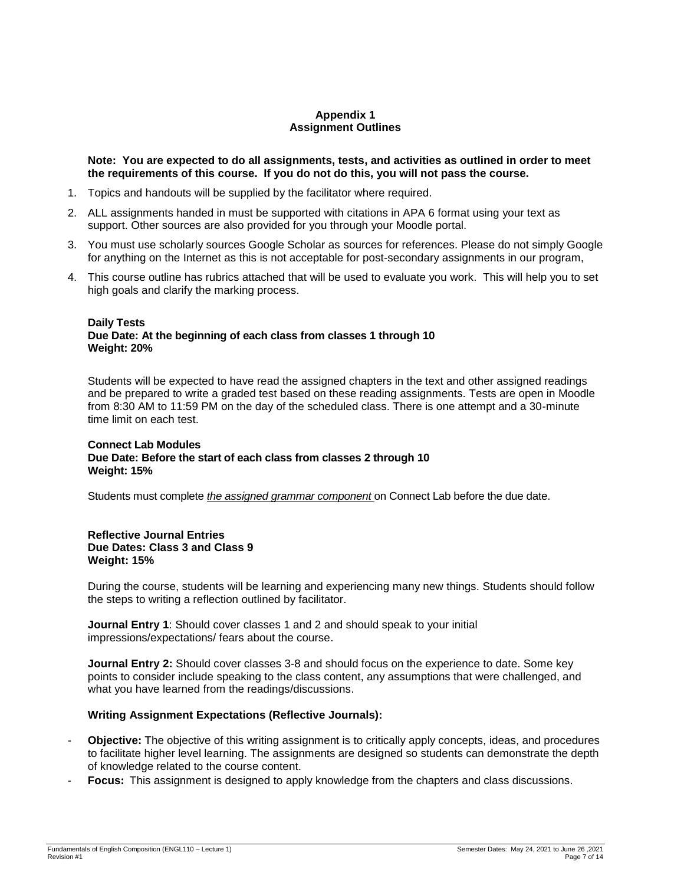## **Appendix 1 Assignment Outlines**

**Note: You are expected to do all assignments, tests, and activities as outlined in order to meet the requirements of this course. If you do not do this, you will not pass the course.** 

- 1. Topics and handouts will be supplied by the facilitator where required.
- 2. ALL assignments handed in must be supported with citations in APA 6 format using your text as support. Other sources are also provided for you through your Moodle portal.
- 3. You must use scholarly sources Google Scholar as sources for references. Please do not simply Google for anything on the Internet as this is not acceptable for post-secondary assignments in our program,
- 4. This course outline has rubrics attached that will be used to evaluate you work. This will help you to set high goals and clarify the marking process.

#### **Daily Tests Due Date: At the beginning of each class from classes 1 through 10 Weight: 20%**

Students will be expected to have read the assigned chapters in the text and other assigned readings and be prepared to write a graded test based on these reading assignments. Tests are open in Moodle from 8:30 AM to 11:59 PM on the day of the scheduled class. There is one attempt and a 30-minute time limit on each test.

#### **Connect Lab Modules Due Date: Before the start of each class from classes 2 through 10 Weight: 15%**

Students must complete *the assigned grammar component* on Connect Lab before the due date.

#### **Reflective Journal Entries Due Dates: Class 3 and Class 9 Weight: 15%**

During the course, students will be learning and experiencing many new things. Students should follow the steps to writing a reflection outlined by facilitator.

**Journal Entry 1**: Should cover classes 1 and 2 and should speak to your initial impressions/expectations/ fears about the course.

**Journal Entry 2:** Should cover classes 3-8 and should focus on the experience to date. Some key points to consider include speaking to the class content, any assumptions that were challenged, and what you have learned from the readings/discussions.

# **Writing Assignment Expectations (Reflective Journals):**

- **Objective:** The objective of this writing assignment is to critically apply concepts, ideas, and procedures to facilitate higher level learning. The assignments are designed so students can demonstrate the depth of knowledge related to the course content.
- Focus: This assignment is designed to apply knowledge from the chapters and class discussions.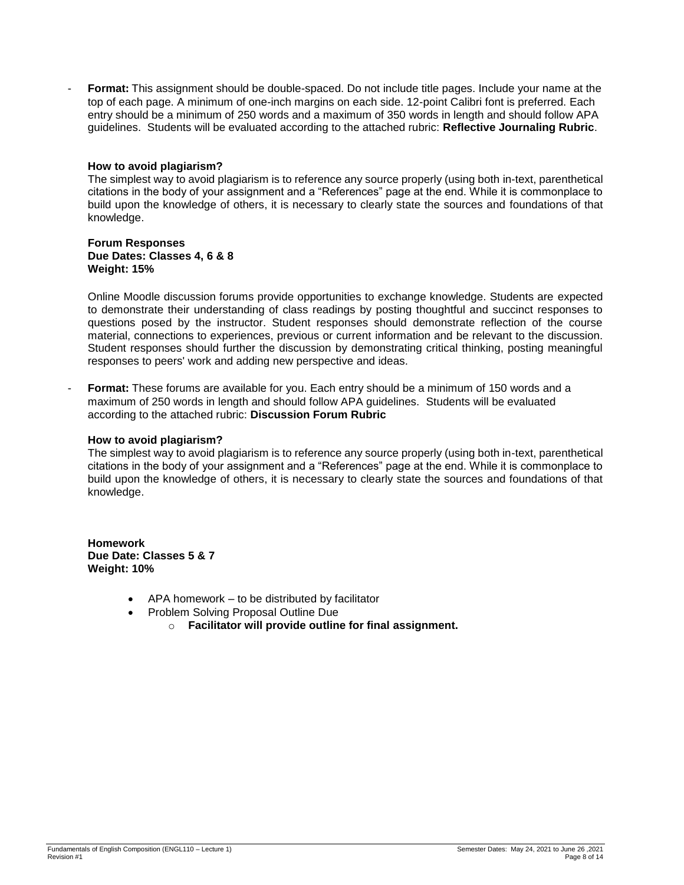Format: This assignment should be double-spaced. Do not include title pages. Include your name at the top of each page. A minimum of one-inch margins on each side. 12-point Calibri font is preferred. Each entry should be a minimum of 250 words and a maximum of 350 words in length and should follow APA guidelines. Students will be evaluated according to the attached rubric: **Reflective Journaling Rubric**.

### **How to avoid plagiarism?**

The simplest way to avoid plagiarism is to reference any source properly (using both in-text, parenthetical citations in the body of your assignment and a "References" page at the end. While it is commonplace to build upon the knowledge of others, it is necessary to clearly state the sources and foundations of that knowledge.

#### **Forum Responses Due Dates: Classes 4, 6 & 8 Weight: 15%**

Online Moodle discussion forums provide opportunities to exchange knowledge. Students are expected to demonstrate their understanding of class readings by posting thoughtful and succinct responses to questions posed by the instructor. Student responses should demonstrate reflection of the course material, connections to experiences, previous or current information and be relevant to the discussion. Student responses should further the discussion by demonstrating critical thinking, posting meaningful responses to peers' work and adding new perspective and ideas.

- **Format:** These forums are available for you. Each entry should be a minimum of 150 words and a maximum of 250 words in length and should follow APA guidelines. Students will be evaluated according to the attached rubric: **Discussion Forum Rubric**

### **How to avoid plagiarism?**

The simplest way to avoid plagiarism is to reference any source properly (using both in-text, parenthetical citations in the body of your assignment and a "References" page at the end. While it is commonplace to build upon the knowledge of others, it is necessary to clearly state the sources and foundations of that knowledge.

**Homework Due Date: Classes 5 & 7 Weight: 10%**

- APA homework to be distributed by facilitator
- Problem Solving Proposal Outline Due
	- o **Facilitator will provide outline for final assignment.**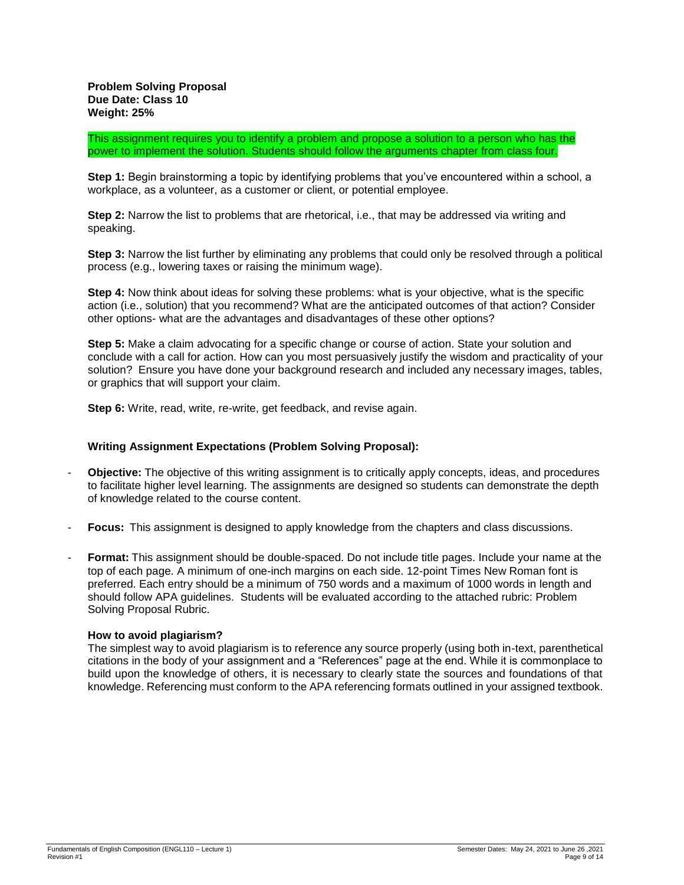This assignment requires you to identify a problem and propose a solution to a person who has the power to implement the solution. Students should follow the arguments chapter from class four.

**Step 1:** Begin brainstorming a topic by identifying problems that you've encountered within a school, a workplace, as a volunteer, as a customer or client, or potential employee.

**Step 2:** Narrow the list to problems that are rhetorical, i.e., that may be addressed via writing and speaking.

**Step 3:** Narrow the list further by eliminating any problems that could only be resolved through a political process (e.g., lowering taxes or raising the minimum wage).

**Step 4:** Now think about ideas for solving these problems: what is your objective, what is the specific action (i.e., solution) that you recommend? What are the anticipated outcomes of that action? Consider other options- what are the advantages and disadvantages of these other options?

**Step 5:** Make a claim advocating for a specific change or course of action. State your solution and conclude with a call for action. How can you most persuasively justify the wisdom and practicality of your solution? Ensure you have done your background research and included any necessary images, tables, or graphics that will support your claim.

**Step 6:** Write, read, write, re-write, get feedback, and revise again.

### **Writing Assignment Expectations (Problem Solving Proposal):**

- **Objective:** The objective of this writing assignment is to critically apply concepts, ideas, and procedures to facilitate higher level learning. The assignments are designed so students can demonstrate the depth of knowledge related to the course content.
- **Focus:** This assignment is designed to apply knowledge from the chapters and class discussions.
- **Format:** This assignment should be double-spaced. Do not include title pages. Include your name at the top of each page. A minimum of one-inch margins on each side. 12-point Times New Roman font is preferred. Each entry should be a minimum of 750 words and a maximum of 1000 words in length and should follow APA guidelines. Students will be evaluated according to the attached rubric: Problem Solving Proposal Rubric.

### **How to avoid plagiarism?**

The simplest way to avoid plagiarism is to reference any source properly (using both in-text, parenthetical citations in the body of your assignment and a "References" page at the end. While it is commonplace to build upon the knowledge of others, it is necessary to clearly state the sources and foundations of that knowledge. Referencing must conform to the APA referencing formats outlined in your assigned textbook.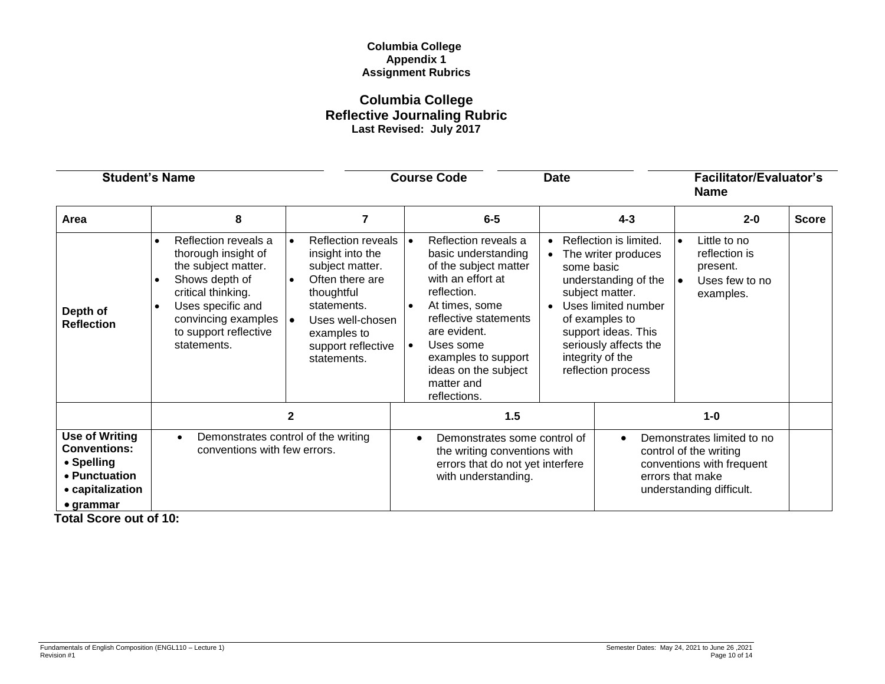# **Columbia College Appendix 1 Assignment Rubrics**

# **Columbia College Reflective Journaling Rubric Last Revised: July 2017**

| <b>Student's Name</b>                                                                                                |                                                                                                                                                                                                |                                                                                                                                                                                                       | <b>Course Code</b>                                                                                                                                                                                                                                                                               | <b>Date</b>                                                                                                                                                                                                                                                                      |                  | <b>Facilitator/Evaluator's</b><br><b>Name</b>                                                                 |              |
|----------------------------------------------------------------------------------------------------------------------|------------------------------------------------------------------------------------------------------------------------------------------------------------------------------------------------|-------------------------------------------------------------------------------------------------------------------------------------------------------------------------------------------------------|--------------------------------------------------------------------------------------------------------------------------------------------------------------------------------------------------------------------------------------------------------------------------------------------------|----------------------------------------------------------------------------------------------------------------------------------------------------------------------------------------------------------------------------------------------------------------------------------|------------------|---------------------------------------------------------------------------------------------------------------|--------------|
| Area                                                                                                                 | 8                                                                                                                                                                                              | 7                                                                                                                                                                                                     | $6-5$                                                                                                                                                                                                                                                                                            | $4 - 3$                                                                                                                                                                                                                                                                          |                  | $2 - 0$                                                                                                       | <b>Score</b> |
| Depth of<br><b>Reflection</b>                                                                                        | Reflection reveals a<br>thorough insight of<br>the subject matter.<br>Shows depth of<br>critical thinking.<br>Uses specific and<br>convincing examples<br>to support reflective<br>statements. | <b>Reflection reveals</b><br>insight into the<br>subject matter.<br>Often there are<br>$\bullet$<br>thoughtful<br>statements.<br>Uses well-chosen<br>examples to<br>support reflective<br>statements. | Reflection reveals a<br>l e i<br>basic understanding<br>of the subject matter<br>with an effort at<br>reflection.<br>At times, some<br>$\bullet$<br>reflective statements<br>are evident.<br>Uses some<br>$\bullet$<br>examples to support<br>ideas on the subject<br>matter and<br>reflections. | Reflection is limited.<br>$\bullet$<br>The writer produces<br>$\bullet$<br>some basic<br>understanding of the<br>subject matter.<br>Uses limited number<br>$\bullet$<br>of examples to<br>support ideas. This<br>seriously affects the<br>integrity of the<br>reflection process | $\bullet$        | Little to no<br>reflection is<br>present.<br>Uses few to no<br>examples.                                      |              |
|                                                                                                                      |                                                                                                                                                                                                | 2                                                                                                                                                                                                     | 1.5                                                                                                                                                                                                                                                                                              |                                                                                                                                                                                                                                                                                  |                  | $1-0$                                                                                                         |              |
| <b>Use of Writing</b><br><b>Conventions:</b><br>• Spelling<br>• Punctuation<br>• capitalization<br>$\bullet$ grammar | Demonstrates control of the writing<br>conventions with few errors.                                                                                                                            |                                                                                                                                                                                                       | Demonstrates some control of<br>the writing conventions with<br>errors that do not yet interfere<br>with understanding.                                                                                                                                                                          | $\bullet$                                                                                                                                                                                                                                                                        | errors that make | Demonstrates limited to no<br>control of the writing<br>conventions with frequent<br>understanding difficult. |              |

 **Total Score out of 10:**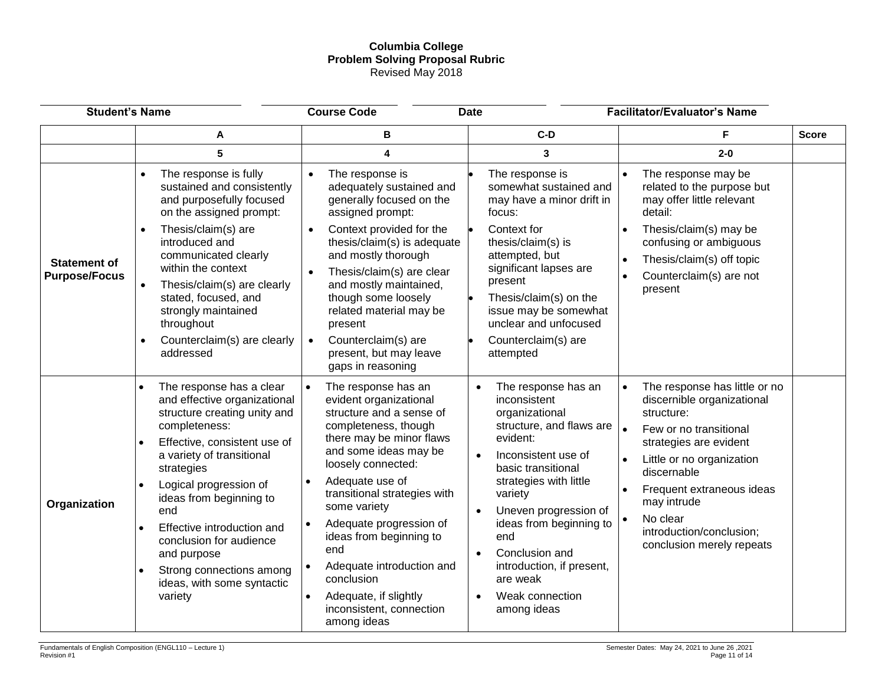# **Columbia College Problem Solving Proposal Rubric** Revised May 2018

| <b>Student's Name</b>                       |                                                                                                                                                                                                                                                                                                                                                                                                                                                                             | <b>Course Code</b><br><b>Date</b>                                                                                                                                                                                                                                                                                                                                                                                                                                          |                                                                                                                                                                                                                                                                                                                                                      | <b>Facilitator/Evaluator's Name</b>                                                                                                                                                                                                                                                                                  |              |
|---------------------------------------------|-----------------------------------------------------------------------------------------------------------------------------------------------------------------------------------------------------------------------------------------------------------------------------------------------------------------------------------------------------------------------------------------------------------------------------------------------------------------------------|----------------------------------------------------------------------------------------------------------------------------------------------------------------------------------------------------------------------------------------------------------------------------------------------------------------------------------------------------------------------------------------------------------------------------------------------------------------------------|------------------------------------------------------------------------------------------------------------------------------------------------------------------------------------------------------------------------------------------------------------------------------------------------------------------------------------------------------|----------------------------------------------------------------------------------------------------------------------------------------------------------------------------------------------------------------------------------------------------------------------------------------------------------------------|--------------|
|                                             | A                                                                                                                                                                                                                                                                                                                                                                                                                                                                           | в                                                                                                                                                                                                                                                                                                                                                                                                                                                                          | $C-D$                                                                                                                                                                                                                                                                                                                                                | F                                                                                                                                                                                                                                                                                                                    | <b>Score</b> |
|                                             | 5                                                                                                                                                                                                                                                                                                                                                                                                                                                                           | 4                                                                                                                                                                                                                                                                                                                                                                                                                                                                          | 3                                                                                                                                                                                                                                                                                                                                                    | $2 - 0$                                                                                                                                                                                                                                                                                                              |              |
| <b>Statement of</b><br><b>Purpose/Focus</b> | The response is fully<br>sustained and consistently<br>and purposefully focused<br>on the assigned prompt:<br>Thesis/claim(s) are<br>introduced and<br>communicated clearly<br>within the context<br>Thesis/claim(s) are clearly<br>stated, focused, and<br>strongly maintained<br>throughout<br>Counterclaim(s) are clearly<br>$\bullet$                                                                                                                                   | The response is<br>adequately sustained and<br>generally focused on the<br>assigned prompt:<br>Context provided for the<br>thesis/claim(s) is adequate<br>and mostly thorough<br>Thesis/claim(s) are clear<br>and mostly maintained,<br>though some loosely<br>related material may be<br>present<br>Counterclaim(s) are<br>$\bullet$                                                                                                                                      | The response is<br>somewhat sustained and<br>may have a minor drift in<br>focus:<br>Context for<br>thesis/claim(s) is<br>attempted, but<br>significant lapses are<br>present<br>Thesis/claim(s) on the<br>issue may be somewhat<br>unclear and unfocused<br>Counterclaim(s) are                                                                      | The response may be<br>related to the purpose but<br>may offer little relevant<br>detail:<br>Thesis/claim(s) may be<br>$\bullet$<br>confusing or ambiguous<br>Thesis/claim(s) off topic<br>$\bullet$<br>Counterclaim(s) are not<br>$\bullet$<br>present                                                              |              |
| Organization                                | addressed<br>The response has a clear<br>$\bullet$<br>and effective organizational<br>structure creating unity and<br>completeness:<br>Effective, consistent use of<br>$\bullet$<br>a variety of transitional<br>strategies<br>Logical progression of<br>$\bullet$<br>ideas from beginning to<br>end<br>Effective introduction and<br>$\bullet$<br>conclusion for audience<br>and purpose<br>Strong connections among<br>$\bullet$<br>ideas, with some syntactic<br>variety | present, but may leave<br>gaps in reasoning<br>The response has an<br>evident organizational<br>structure and a sense of<br>completeness, though<br>there may be minor flaws<br>and some ideas may be<br>loosely connected:<br>Adequate use of<br>transitional strategies with<br>some variety<br>Adequate progression of<br>ideas from beginning to<br>end<br>Adequate introduction and<br>conclusion<br>Adequate, if slightly<br>inconsistent, connection<br>among ideas | attempted<br>The response has an<br>inconsistent<br>organizational<br>structure, and flaws are<br>evident:<br>Inconsistent use of<br>basic transitional<br>strategies with little<br>variety<br>Uneven progression of<br>ideas from beginning to<br>end<br>Conclusion and<br>introduction, if present,<br>are weak<br>Weak connection<br>among ideas | The response has little or no<br>$\bullet$<br>discernible organizational<br>structure:<br>$\bullet$<br>Few or no transitional<br>strategies are evident<br>Little or no organization<br>discernable<br>Frequent extraneous ideas<br>may intrude<br>No clear<br>introduction/conclusion;<br>conclusion merely repeats |              |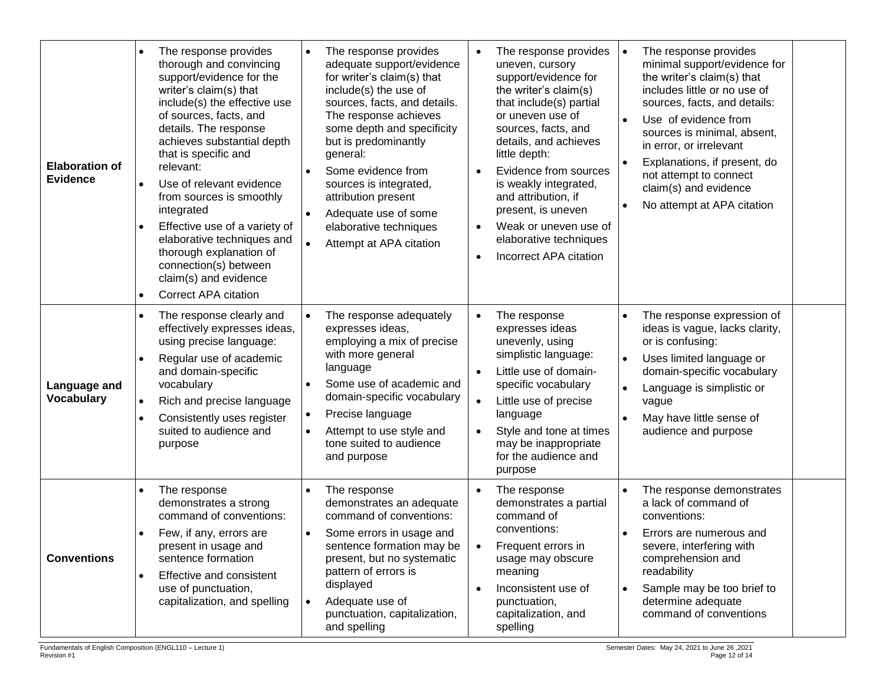| <b>Elaboration of</b><br><b>Evidence</b> | The response provides<br>$\bullet$<br>thorough and convincing<br>support/evidence for the<br>writer's claim(s) that<br>include(s) the effective use<br>of sources, facts, and<br>details. The response<br>achieves substantial depth<br>that is specific and<br>relevant:<br>Use of relevant evidence<br>$\bullet$<br>from sources is smoothly<br>integrated<br>Effective use of a variety of<br>$\bullet$<br>elaborative techniques and<br>thorough explanation of<br>connection(s) between<br>claim(s) and evidence<br><b>Correct APA citation</b><br>$\bullet$ | The response provides<br>adequate support/evidence<br>for writer's claim(s) that<br>include(s) the use of<br>sources, facts, and details.<br>The response achieves<br>some depth and specificity<br>but is predominantly<br>general:<br>Some evidence from<br>sources is integrated,<br>attribution present<br>Adequate use of some<br>elaborative techniques<br>Attempt at APA citation | The response provides<br>$\bullet$<br>uneven, cursory<br>support/evidence for<br>the writer's claim(s)<br>that include(s) partial<br>or uneven use of<br>sources, facts, and<br>details, and achieves<br>little depth:<br>Evidence from sources<br>$\bullet$<br>is weakly integrated,<br>and attribution, if<br>present, is uneven<br>Weak or uneven use of<br>$\bullet$<br>elaborative techniques<br>Incorrect APA citation<br>$\bullet$ | The response provides<br>$\bullet$<br>minimal support/evidence for<br>the writer's claim(s) that<br>includes little or no use of<br>sources, facts, and details:<br>Use of evidence from<br>sources is minimal, absent,<br>in error, or irrelevant<br>Explanations, if present, do<br>$\bullet$<br>not attempt to connect<br>claim(s) and evidence<br>No attempt at APA citation |
|------------------------------------------|-------------------------------------------------------------------------------------------------------------------------------------------------------------------------------------------------------------------------------------------------------------------------------------------------------------------------------------------------------------------------------------------------------------------------------------------------------------------------------------------------------------------------------------------------------------------|------------------------------------------------------------------------------------------------------------------------------------------------------------------------------------------------------------------------------------------------------------------------------------------------------------------------------------------------------------------------------------------|-------------------------------------------------------------------------------------------------------------------------------------------------------------------------------------------------------------------------------------------------------------------------------------------------------------------------------------------------------------------------------------------------------------------------------------------|----------------------------------------------------------------------------------------------------------------------------------------------------------------------------------------------------------------------------------------------------------------------------------------------------------------------------------------------------------------------------------|
| Language and<br><b>Vocabulary</b>        | The response clearly and<br>$\bullet$<br>effectively expresses ideas,<br>using precise language:<br>Regular use of academic<br>and domain-specific<br>vocabulary<br>Rich and precise language<br>$\bullet$<br>Consistently uses register<br>$\bullet$<br>suited to audience and<br>purpose                                                                                                                                                                                                                                                                        | The response adequately<br>expresses ideas,<br>employing a mix of precise<br>with more general<br>language<br>Some use of academic and<br>domain-specific vocabulary<br>Precise language<br>Attempt to use style and<br>tone suited to audience<br>and purpose                                                                                                                           | The response<br>$\bullet$<br>expresses ideas<br>unevenly, using<br>simplistic language:<br>Little use of domain-<br>specific vocabulary<br>Little use of precise<br>$\bullet$<br>language<br>Style and tone at times<br>$\bullet$<br>may be inappropriate<br>for the audience and<br>purpose                                                                                                                                              | The response expression of<br>ideas is vague, lacks clarity,<br>or is confusing:<br>Uses limited language or<br>domain-specific vocabulary<br>$\bullet$<br>Language is simplistic or<br>vague<br>May have little sense of<br>$\bullet$<br>audience and purpose                                                                                                                   |
| <b>Conventions</b>                       | The response<br>$\bullet$<br>demonstrates a strong<br>command of conventions:<br>Few, if any, errors are<br>$\bullet$<br>present in usage and<br>sentence formation<br>Effective and consistent<br>$\bullet$<br>use of punctuation,<br>capitalization, and spelling                                                                                                                                                                                                                                                                                               | The response<br>demonstrates an adequate<br>command of conventions:<br>Some errors in usage and<br>$\bullet$<br>sentence formation may be<br>present, but no systematic<br>pattern of errors is<br>displayed<br>Adequate use of<br>$\bullet$<br>punctuation, capitalization,<br>and spelling                                                                                             | The response<br>$\bullet$<br>demonstrates a partial<br>command of<br>conventions:<br>Frequent errors in<br>usage may obscure<br>meaning<br>Inconsistent use of<br>$\bullet$<br>punctuation,<br>capitalization, and<br>spelling                                                                                                                                                                                                            | The response demonstrates<br>$\bullet$<br>a lack of command of<br>conventions:<br>Errors are numerous and<br>severe, interfering with<br>comprehension and<br>readability<br>Sample may be too brief to<br>$\bullet$<br>determine adequate<br>command of conventions                                                                                                             |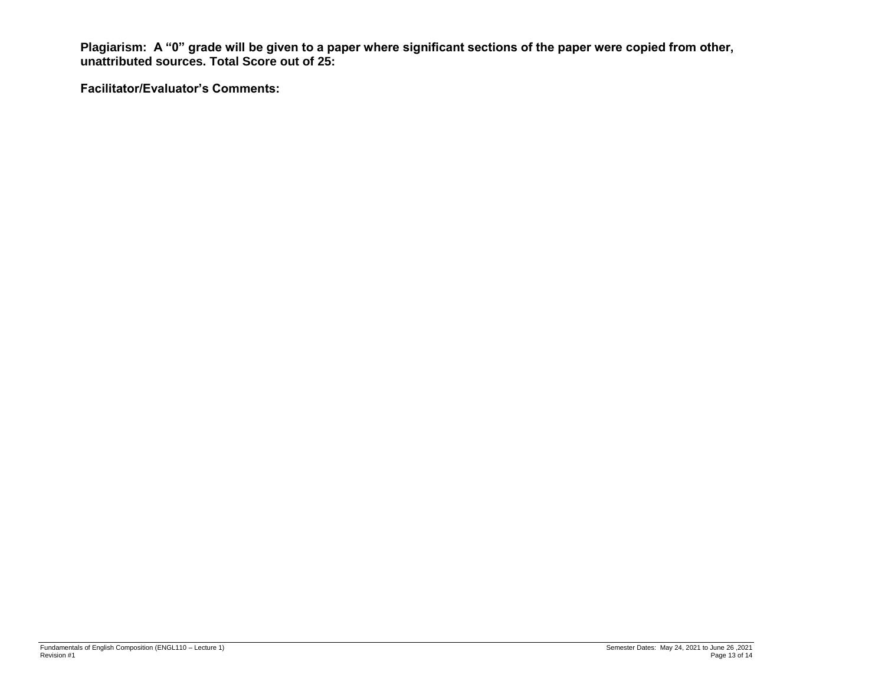**Plagiarism: A "0" grade will be given to a paper where significant sections of the paper were copied from other, unattributed sources. Total Score out of 25:** 

**Facilitator/Evaluator's Comments:**